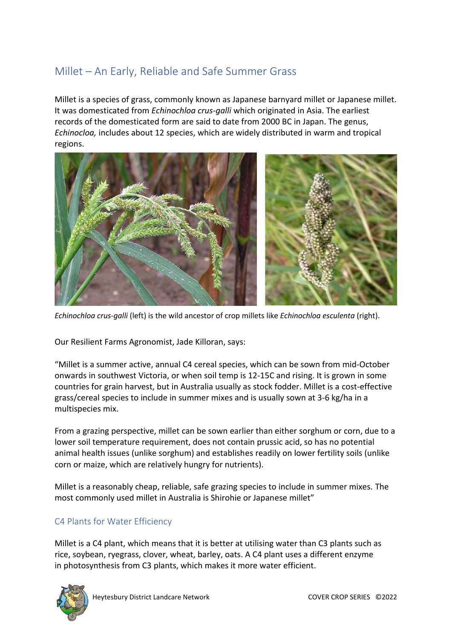# Millet – An Early, Reliable and Safe Summer Grass

Millet is a species of [grass,](https://en.wikipedia.org/wiki/Grass) commonly known as Japanese barnyard millet or Japanese millet. It was [domesticated](https://en.wikipedia.org/wiki/Grain_domestication) from *[Echinochloa crus-galli](https://en.wikipedia.org/wiki/Echinochloa_crus-galli)* which originated in Asia. The earliest records of the domesticated form are said to date from 2000 BC in Japan. The genus, *Echinocloa,* includes about 12 species, which are widely distributed in warm and tropical regions.



*[Echinochloa crus-galli](https://en.wikipedia.org/wiki/Echinochloa_crus-galli)* (left) is the wild ancestor of crop millets like *Echinochloa esculenta* (right).

Our Resilient Farms Agronomist, Jade Killoran, says:

"Millet is a summer active, annual C4 cereal species, which can be sown from mid-October onwards in southwest Victoria, or when soil temp is 12-15C and rising. It is grown in some countries for grain harvest, but in Australia usually as stock fodder. Millet is a cost-effective grass/cereal species to include in summer mixes and is usually sown at 3-6 kg/ha in a multispecies mix.

From a grazing perspective, millet can be sown earlier than either sorghum or corn, due to a lower soil temperature requirement, does not contain prussic acid, so has no potential animal health issues (unlike sorghum) and establishes readily on lower fertility soils (unlike corn or maize, which are relatively hungry for nutrients).

Millet is a reasonably cheap, reliable, safe grazing species to include in summer mixes. The most commonly used millet in Australia is Shirohie or Japanese millet"

## C4 Plants for Water Efficiency

Millet is a [C4](https://en.wikipedia.org/wiki/C4_carbon_fixation) plant, which means that it is better at utilising water than C3 plants such as rice, soybean, ryegrass, clover, wheat, barley, oats. A C4 plant uses a different enzyme in [photosynthesis](https://en.wikipedia.org/wiki/Photosynthesis) from [C3](https://en.wikipedia.org/wiki/C3_carbon_fixation) plants, which makes it more water efficient.

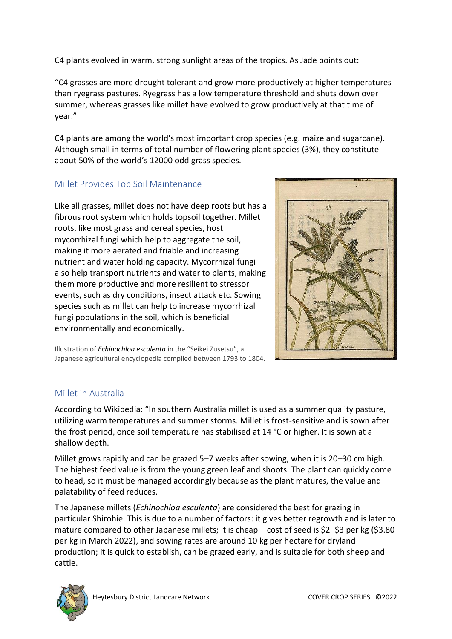C4 plants evolved in warm, strong sunlight areas of the tropics. As Jade points out:

"C4 grasses are more drought tolerant and grow more productively at higher temperatures than ryegrass pastures. Ryegrass has a low temperature threshold and shuts down over summer, whereas grasses like millet have evolved to grow productively at that time of year."

C4 plants are among the world's most important crop species (e.g. maize and sugarcane). Although small in terms of total number of flowering plant species (3%), they constitute about 50% of the world's 12000 odd grass species.

## Millet Provides Top Soil Maintenance

Like all grasses, millet does not have deep roots but has a fibrous root system which holds topsoil together. Millet roots, like most grass and cereal species, host mycorrhizal fungi which help to aggregate the soil, making it more aerated and friable and increasing nutrient and water holding capacity. Mycorrhizal fungi also help transport nutrients and water to plants, making them more productive and more resilient to stressor events, such as dry conditions, insect attack etc. Sowing species such as millet can help to increase mycorrhizal fungi populations in the soil, which is beneficial environmentally and economically.



Illustration of *Echinochloa esculenta* in the "Seikei Zusetsu", a Japanese agricultural encyclopedia complied between 1793 to 1804.

## Millet in Australia

According to Wikipedia: "In southern [Australia](https://en.wikipedia.org/wiki/Australia) millet is used as a summer quality pasture, utilizing warm temperatures and summer storms. Millet is frost-sensitive and is sown after the frost period, once soil temperature has stabilised at 14 °C or higher. It is sown at a shallow depth.

Millet grows rapidly and can be grazed 5–7 weeks after sowing, when it is 20–30 cm high. The highest feed value is from the young green leaf and shoots. The plant can quickly come to head, so it must be managed accordingly because as the plant matures, the value and palatability of feed reduces.

The Japanese millets (*[Echinochloa esculenta](https://en.wikipedia.org/wiki/Echinochloa_esculenta)*) are considered the best for grazing in particular Shirohie. This is due to a number of factors: it gives better regrowth and is later to mature compared to other Japanese millets; it is cheap – cost of seed is \$2–\$3 per kg (\$3.80 per kg in March 2022), and sowing rates are around 10 kg per hectare for dryland production; it is quick to establish, can be grazed early, and is suitable for both sheep and cattle.

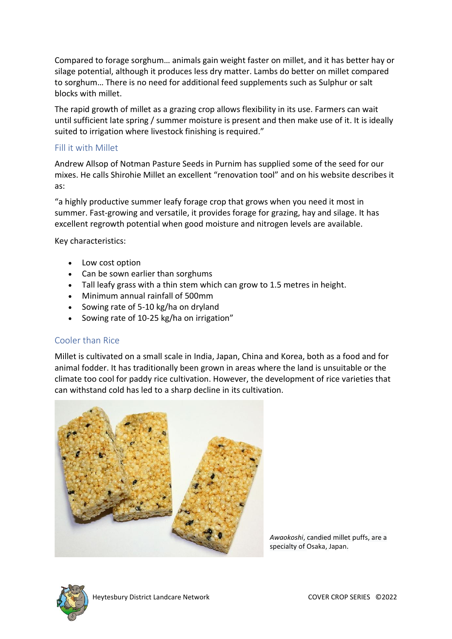Compared to forage sorghum… animals gain weight faster on millet, and it has better hay or silage potential, although it produces less dry matter. Lambs do better on millet compared to [sorghum](https://en.wikipedia.org/wiki/Sorghum)… There is no need for additional feed supplements such as [Sulphur](https://en.wikipedia.org/wiki/Sulphur) or salt blocks with millet.

The rapid growth of millet as a grazing crop allows flexibility in its use. Farmers can wait until sufficient late spring / summer moisture is present and then make use of it. It is ideally suited to irrigation where livestock finishing is required."

#### Fill it with Millet

Andrew Allsop of Notman Pasture Seeds in Purnim has supplied some of the seed for our mixes. He calls Shirohie Millet an excellent "renovation tool" and on his website describes it as:

"a highly productive summer leafy forage crop that grows when you need it most in summer. Fast-growing and versatile, it provides forage for grazing, hay and silage. It has excellent regrowth potential when good moisture and nitrogen levels are available.

Key characteristics:

- Low cost option
- Can be sown earlier than sorghums
- Tall leafy grass with a thin stem which can grow to 1.5 metres in height.
- Minimum annual rainfall of 500mm
- Sowing rate of 5-10 kg/ha on dryland
- Sowing rate of 10-25 kg/ha on irrigation"

#### Cooler than Rice

Millet is cultivated on a small scale in [India,](https://en.wikipedia.org/wiki/India) [Japan,](https://en.wikipedia.org/wiki/Japan) [China](https://en.wikipedia.org/wiki/China) and [Korea,](https://en.wikipedia.org/wiki/Korea) both as a food and for animal [fodder.](https://en.wikipedia.org/wiki/Fodder) It has traditionally been grown in areas where the land is unsuitable or the climate too cool for paddy rice cultivation. However, the development of rice varieties that can withstand cold has led to a sharp decline in its cultivation.



*Awaokoshi*, candied millet [puffs,](https://en.wikipedia.org/wiki/Puffed_grain) are a specialty of [Osaka,](https://en.wikipedia.org/wiki/Osaka) [Japan.](https://en.wikipedia.org/wiki/Japan)

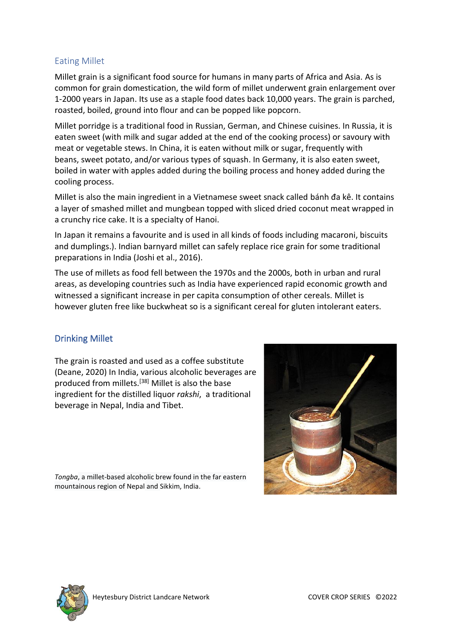## Eating Millet

Millet grain is a significant food source for humans in many parts of Africa and Asia. As is common for grain domestication, the wild form of millet underwent grain enlargement over 1-2000 years in Japan. Its use as a staple food dates back 10,000 years. The grain is parched, roasted, boiled, ground into flour and can be popped like popcorn.

Millet [porridge](https://en.wikipedia.org/wiki/Porridge) is a traditional food in [Russian,](https://en.wikipedia.org/wiki/Russian_cuisine) [German,](https://en.wikipedia.org/wiki/German_cuisine) and [Chinese](https://en.wikipedia.org/wiki/Chinese_cuisine) сuisines. In Russia, it is eaten sweet (with milk and [sugar](https://en.wikipedia.org/wiki/Sugar) added at the end of the cooking process) or savoury with meat or vegetable stews. In China, it is eaten without milk or sugar, frequently with beans, [sweet potato,](https://en.wikipedia.org/wiki/Sweet_potato) and/or various types of [squash.](https://en.wikipedia.org/wiki/Squash_(plant)) In Germany, it is also eaten sweet, boiled in water with [apples](https://en.wikipedia.org/wiki/Apple) added during the boiling process and [honey](https://en.wikipedia.org/wiki/Honey) added during the cooling process.

Millet is also the main ingredient in a Vietnamese sweet snack called [bánh đa kê](https://en.wikipedia.org/w/index.php?title=B%C3%A1nh_%C4%91a_k%C3%AA&action=edit&redlink=1). It contains a layer of smashed millet and mungbean topped with sliced dried [coconut](https://en.wikipedia.org/wiki/Coconut) meat wrapped in a crunchy rice cake. It is a specialty of [Hanoi.](https://en.wikipedia.org/wiki/Hanoi)

In Japan it remains a favourite and is used in all kinds of foods including macaroni, biscuits and dumplings.). Indian barnyard millet can safely replace rice grain for some traditional preparations in India [\(Joshi et al., 2016\)](https://www.feedipedia.org/node/26433).

The use of millets as food fell between the 1970s and the 2000s, both in urban and rural areas, as developing countries such as India have experienced rapid economic growth and witnessed a significant increase in per capita consumption of other cereals. Millet is however gluten free like buckwheat so is a significant cereal for gluten intolerant eaters.

## Drinking Millet

The grain is roasted and used as a coffee substitute [\(Deane, 2020\)](https://www.feedipedia.org/node/26416) In India, various alcoholic beverages are produced from millets.[\[38\]](https://en.wikipedia.org/wiki/Millet#cite_note-:0-38) Millet is also the base ingredient for the distilled liquor *[rakshi](https://en.wikipedia.org/wiki/Rakshi)*, a traditional beverage in Nepal, India and Tibet.

*[Tongba](https://en.wikipedia.org/wiki/Tongba)*, a millet-based alcoholic brew found in the far eastern mountainous region of [Nepal](https://en.wikipedia.org/wiki/Nepal) and [Sikkim, India.](https://en.wikipedia.org/wiki/Sikkim,_India)



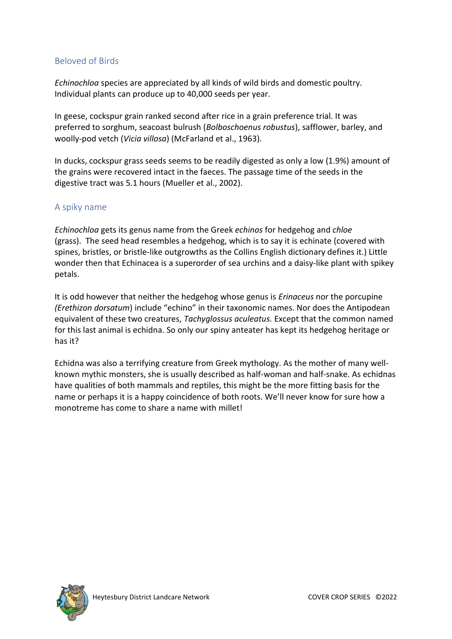## Beloved of Birds

*Echinochloa* species are appreciated by all kinds of wild birds and domestic poultry. Individual plants can produce up to 40,000 seeds per year.

In geese, cockspur grain ranked second after rice in a grain preference trial. It was preferred to sorghum, seacoast bulrush (*Bolboschoenus robustus*), safflower, barley, and woolly-pod vetch (*Vicia villosa*) [\(McFarland et al., 1963\)](https://www.feedipedia.org/node/26436).

In ducks, cockspur grass seeds seems to be readily digested as only a low (1.9%) amount of the grains were recovered intact in the faeces. The passage time of the seeds in the digestive tract was 5.1 hours [\(Mueller et al., 2002\)](https://www.feedipedia.org/node/26419).

### A spiky name

*Echinochloa* gets its genus name from the Greek *echinos* for hedgehog and *chloe*  (grass). The seed head resembles a hedgehog, which is to say it is echinate (covered with spines, bristles, or bristle-like outgrowths as the Collins English dictionary defines it.) Little wonder then that Echinacea is a superorder of sea urchins and a daisy-like plant with spikey petals.

It is odd however that neither the hedgehog whose genus is *Erinaceus* nor the porcupine *(Erethizon dorsatum*) include "echino" in their taxonomic names. Nor does the Antipodean equivalent of these two creatures, *Tachyglossus aculeatus.* Except that the common named for this last animal is echidna. So only our spiny anteater has kept its hedgehog heritage or has it?

Echidna was also a terrifying creature from [Greek mythology.](https://en.wikipedia.org/wiki/Greek_mythology) As the mother of many wellknown mythic monsters, she is usually described as half-woman and half-snake. As echidnas have qualities of both mammals and reptiles, this might be the more fitting basis for the name or perhaps it is a happy coincidence of both roots. We'll never know for sure how a monotreme has come to share a name with millet!